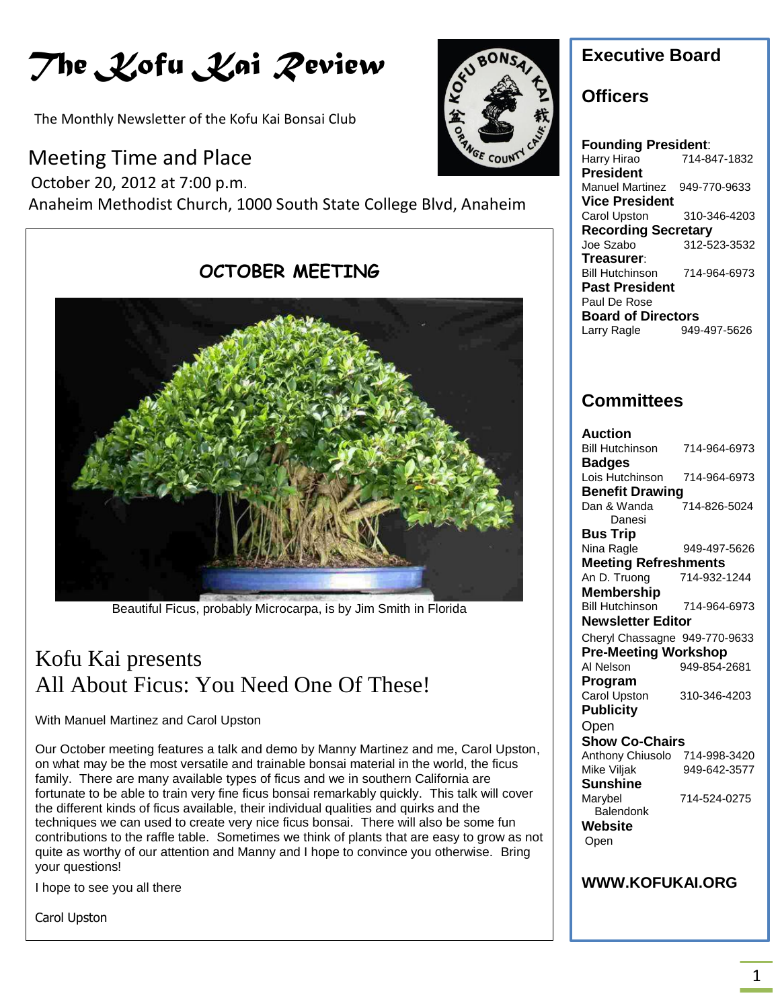# *The Kofu Kai Review*

The Monthly Newsletter of the Kofu Kai Bonsai Club

## Meeting Time and Place

October 20, 2012 at 7:00 p.m.

Anaheim Methodist Church, 1000 South State College Blvd, Anaheim



Beautiful Ficus, probably Microcarpa, is by Jim Smith in Florida

## Kofu Kai presents All About Ficus: You Need One Of These!

With Manuel Martinez and Carol Upston

Our October meeting features a talk and demo by Manny Martinez and me, Carol Upston, on what may be the most versatile and trainable bonsai material in the world, the ficus family. There are many available types of ficus and we in southern California are fortunate to be able to train very fine ficus bonsai remarkably quickly. This talk will cover the different kinds of ficus available, their individual qualities and quirks and the techniques we can used to create very nice ficus bonsai. There will also be some fun contributions to the raffle table. Sometimes we think of plants that are easy to grow as not quite as worthy of our attention and Manny and I hope to convince you otherwise. Bring your questions!

I hope to see you all there

Carol Upston



## **Executive Board**

### **Officers**

**Founding President**: Harry Hirao 714-847-1832 **President** Manuel Martinez 949-770-9633 **Vice President** Carol Upston 310-346-4203 **Recording Secretary** Joe Szabo 312-523-3532 **Treasurer**: Bill Hutchinson 714-964-6973 **Past President** Paul De Rose **Board of Directors**<br>Larry Ragle 949-Larry Ragle 949-497-5626

## **Committees**

| Auction                       |              |
|-------------------------------|--------------|
| <b>Bill Hutchinson</b>        | 714-964-6973 |
| <b>Badges</b>                 |              |
| Lois Hutchinson               | 714-964-6973 |
| <b>Benefit Drawing</b>        |              |
| Dan & Wanda                   | 714-826-5024 |
| Danesi                        |              |
| Bus Trip                      |              |
| Nina Ragle                    | 949-497-5626 |
| <b>Meeting Refreshments</b>   |              |
| An D. Truong                  | 714-932-1244 |
| Membership                    |              |
| <b>Bill Hutchinson</b>        | 714-964-6973 |
| <b>Newsletter Editor</b>      |              |
| Cheryl Chassagne 949-770-9633 |              |
| <b>Pre-Meeting Workshop</b>   |              |
| Al Nelson                     | 949-854-2681 |
| Program                       |              |
| <b>Carol Upston</b>           | 310-346-4203 |
| <b>Publicity</b>              |              |
| Open                          |              |
| <b>Show Co-Chairs</b>         |              |
| Anthony Chiusolo              | 714-998-3420 |
| Mike Viljak                   | 949-642-3577 |
| Sunshine                      |              |
| Marybel                       | 714-524-0275 |
| Balendonk                     |              |
| Website                       |              |
| Open                          |              |
|                               |              |
|                               |              |
| <b>WWW.KOFUKAI.ORG</b>        |              |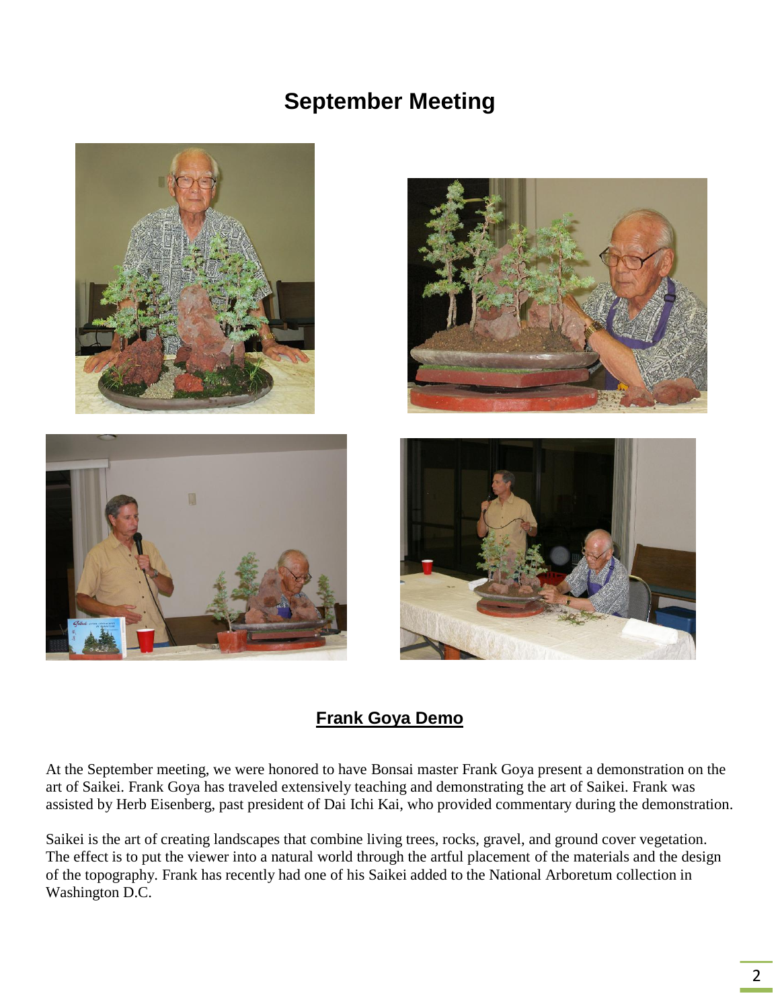## **September Meeting**



### **Frank Goya Demo**

At the September meeting, we were honored to have Bonsai master Frank Goya present a demonstration on the art of Saikei. Frank Goya has traveled extensively teaching and demonstrating the art of Saikei. Frank was assisted by Herb Eisenberg, past president of Dai Ichi Kai, who provided commentary during the demonstration.

Saikei is the art of creating landscapes that combine living trees, rocks, gravel, and ground cover vegetation. The effect is to put the viewer into a natural world through the artful placement of the materials and the design of the topography. Frank has recently had one of his Saikei added to the National Arboretum collection in Washington D.C.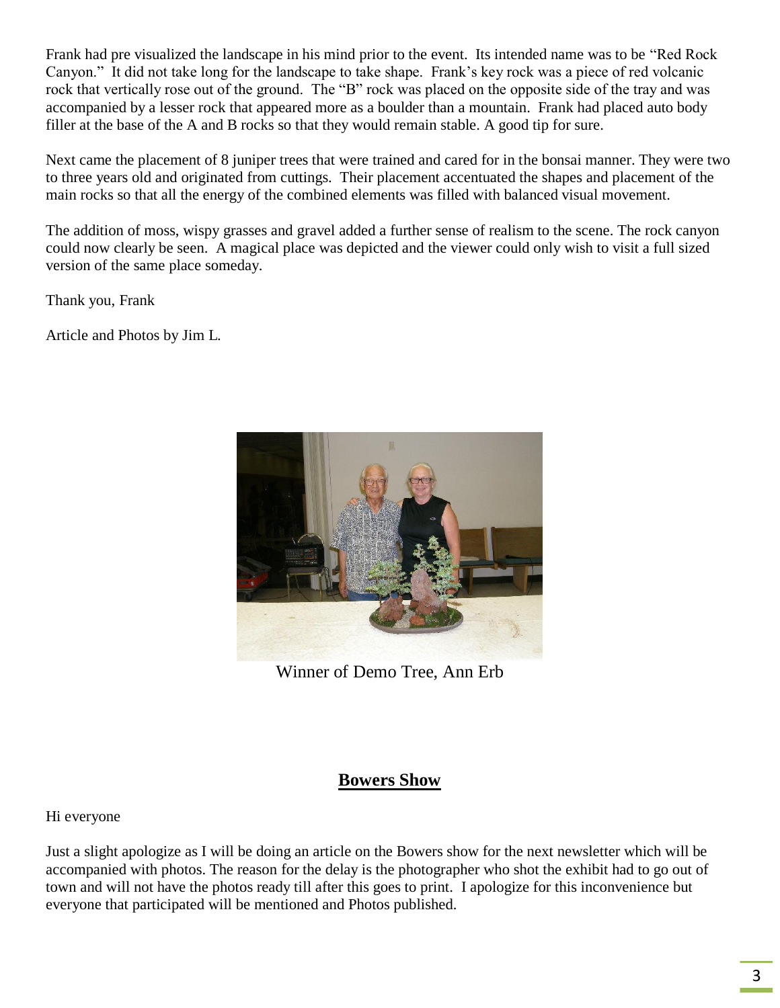Frank had pre visualized the landscape in his mind prior to the event. Its intended name was to be "Red Rock Canyon." It did not take long for the landscape to take shape. Frank's key rock was a piece of red volcanic rock that vertically rose out of the ground. The "B" rock was placed on the opposite side of the tray and was accompanied by a lesser rock that appeared more as a boulder than a mountain. Frank had placed auto body filler at the base of the A and B rocks so that they would remain stable. A good tip for sure.

Next came the placement of 8 juniper trees that were trained and cared for in the bonsai manner. They were two to three years old and originated from cuttings. Their placement accentuated the shapes and placement of the main rocks so that all the energy of the combined elements was filled with balanced visual movement.

The addition of moss, wispy grasses and gravel added a further sense of realism to the scene. The rock canyon could now clearly be seen. A magical place was depicted and the viewer could only wish to visit a full sized version of the same place someday.

Thank you, Frank

Article and Photos by Jim L.



Winner of Demo Tree, Ann Erb

### **Bowers Show**

#### Hi everyone

Just a slight apologize as I will be doing an article on the Bowers show for the next newsletter which will be accompanied with photos. The reason for the delay is the photographer who shot the exhibit had to go out of town and will not have the photos ready till after this goes to print. I apologize for this inconvenience but everyone that participated will be mentioned and Photos published.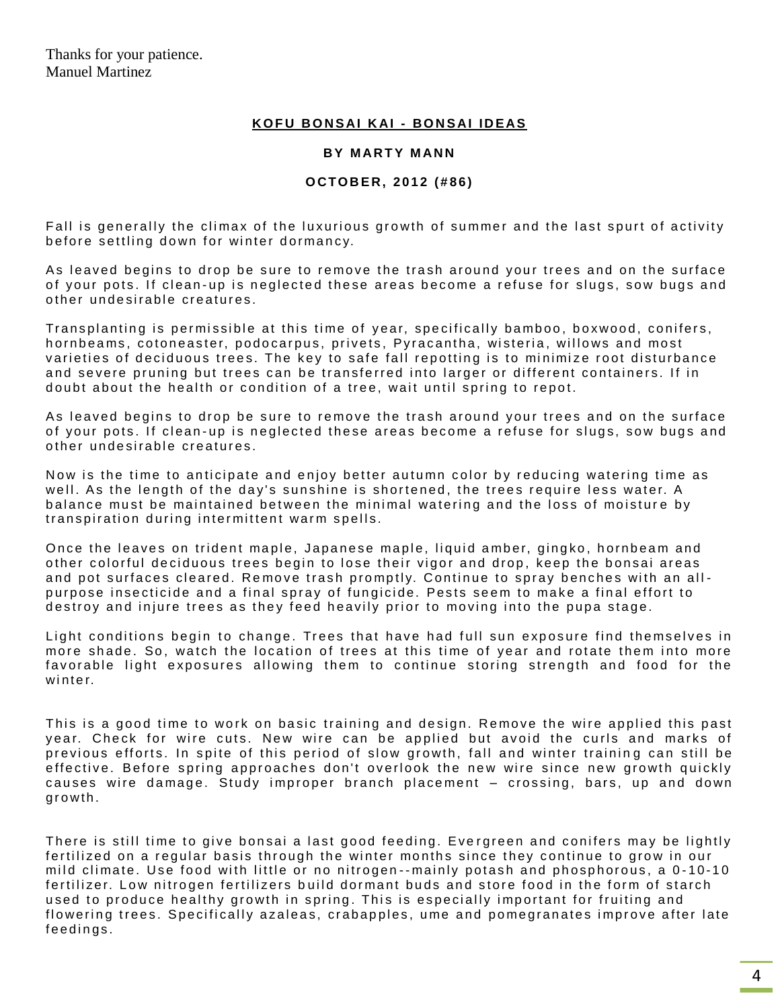#### **K O F U BO N S AI K AI - BO N S AI I D EAS**

#### **BY MARTY MANN**

#### **O CT O B E R, 2 0 1 2 ( # 8 6 )**

Fall is generally the climax of the luxurious growth of summer and the last spurt of activity before settling down for winter dormancy.

As leaved begins to drop be sure to remove the trash around your trees and on the surface of your pots. If clean-up is neglected these areas become a refuse for slugs, sow bugs and other undesirable creatures.

Transplanting is permissible at this time of year, specifically bamboo, boxwood, conifers, hornbeams, cotoneaster, podocarpus, privets, Pyracantha, wisteria, willows and most varieties of deciduous trees. The key to safe fall repotting is to minimize root disturbance and severe pruning but trees can be transferred into larger or different containers. If in doubt about the health or condition of a tree, wait until spring to repot.

As leaved begins to drop be sure to remove the trash around your trees and on the surface of your pots. If clean-up is neglected these areas become a refuse for slugs, sow bugs and other undesirable creatures.

Now is the time to anticipate and enjoy better autumn color by reducing watering time as well. As the length of the day's sunshine is shortened, the trees require less water. A balance must be maintained between the minimal watering and the loss of moisture by transpiration during intermittent warm spells.

Once the leaves on trident maple, Japanese maple, liquid amber, gingko, hornbeam and other colorful deciduous trees begin to lose their vigor and drop, keep the bonsai areas and pot surfaces cleared. Remove trash promptly. Continue to spray benches with an allpurpose insecticide and a final spray of fungicide. Pests seem to make a final effort to destroy and injure trees as they feed heavily prior to moving into the pupa stage.

Light conditions begin to change. Trees that have had full sun exposure find themselves in more shade. So, watch the location of trees at this time of year and rotate them into more favorable light exposures allowing them to continue storing strength and food for the  $w$  in  $t e r$ 

This is a good time to work on basic training and design. Remove the wire applied this past year. Check for wire cuts. New wire can be applied but avoid the curls and marks of previous efforts. In spite of this period of slow growth, fall and winter training can still be effective. Before spring approaches don't overlook the new wire since new growth quickly causes wire damage. Study improper branch placement – crossing, bars, up and down growth.

There is still time to give bonsai a last good feeding. Evergreen and conifers may be lightly fertilized on a regular basis through the winter months since they continue to grow in our mild climate. Use food with little or no nitrogen--mainly potash and phosphorous, a 0-10-10 fertilizer. Low nitrogen fertilizers build dormant buds and store food in the form of starch used to produce healthy growth in spring. This is especially important for fruiting and flowering trees. Specifically azaleas, crabapples, ume and pomegranates improve after late feedings.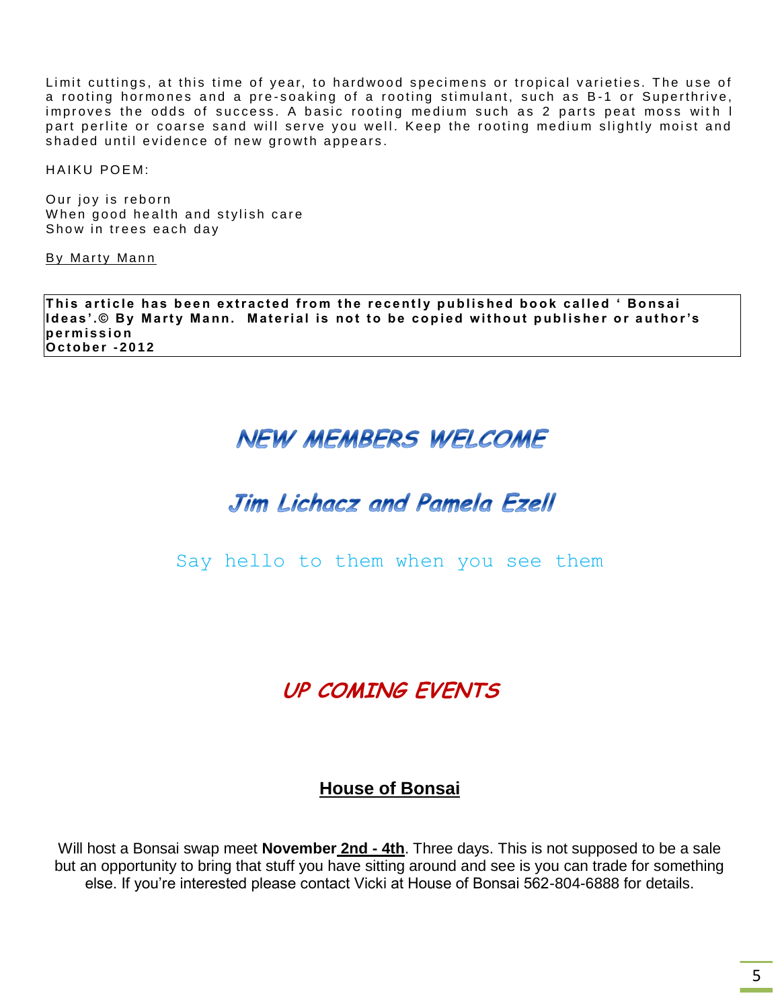Limit cuttings, at this time of year, to hardwood specimens or tropical varieties. The use of a rooting hormones and a pre-soaking of a rooting stimulant, such as B-1 or Superthrive, improves the odds of success. A basic rooting medium such as 2 parts peat moss with I part perlite or coarse sand will serve you well. Keep the rooting medium slightly moist and shaded until evidence of new growth appears.

HAIKU POEM:

Our joy is reborn When good health and stylish care Show in trees each day

By Marty Mann

This article has been extracted from the recently published book called ' Bonsai **Ideas'.© By Marty Mann. Material is not to be copied without publisher or author's p e r m i s s i o n O c t o b e r -2 0 1 2**

## **NEW MEMBERS WELCOME**

## Jim Lichacz and Pamela Ezell

Say hello to them when you see them

## **UP COMING EVENTS**

### **House of Bonsai**

Will host a Bonsai swap meet **November 2nd - 4th**. Three days. This is not supposed to be a sale but an opportunity to bring that stuff you have sitting around and see is you can trade for something else. If you're interested please contact Vicki at House of Bonsai 562-804-6888 for details.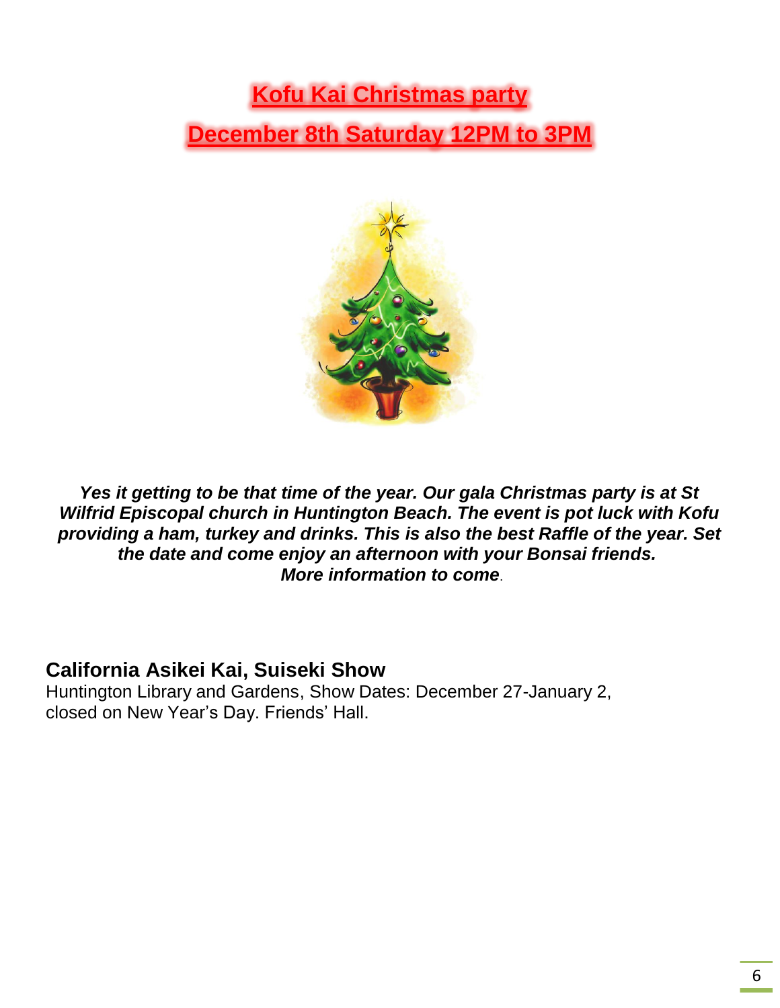## **Kofu Kai Christmas party December 8th Saturday 12PM to 3PM**



*Yes it getting to be that time of the year. Our gala Christmas party is at St Wilfrid Episcopal church in Huntington Beach. The event is pot luck with Kofu providing a ham, turkey and drinks. This is also the best Raffle of the year. Set the date and come enjoy an afternoon with your Bonsai friends. More information to come*.

### **California Asikei Kai, Suiseki Show**

Huntington Library and Gardens, Show Dates: December 27-January 2, closed on New Year's Day. Friends' Hall.